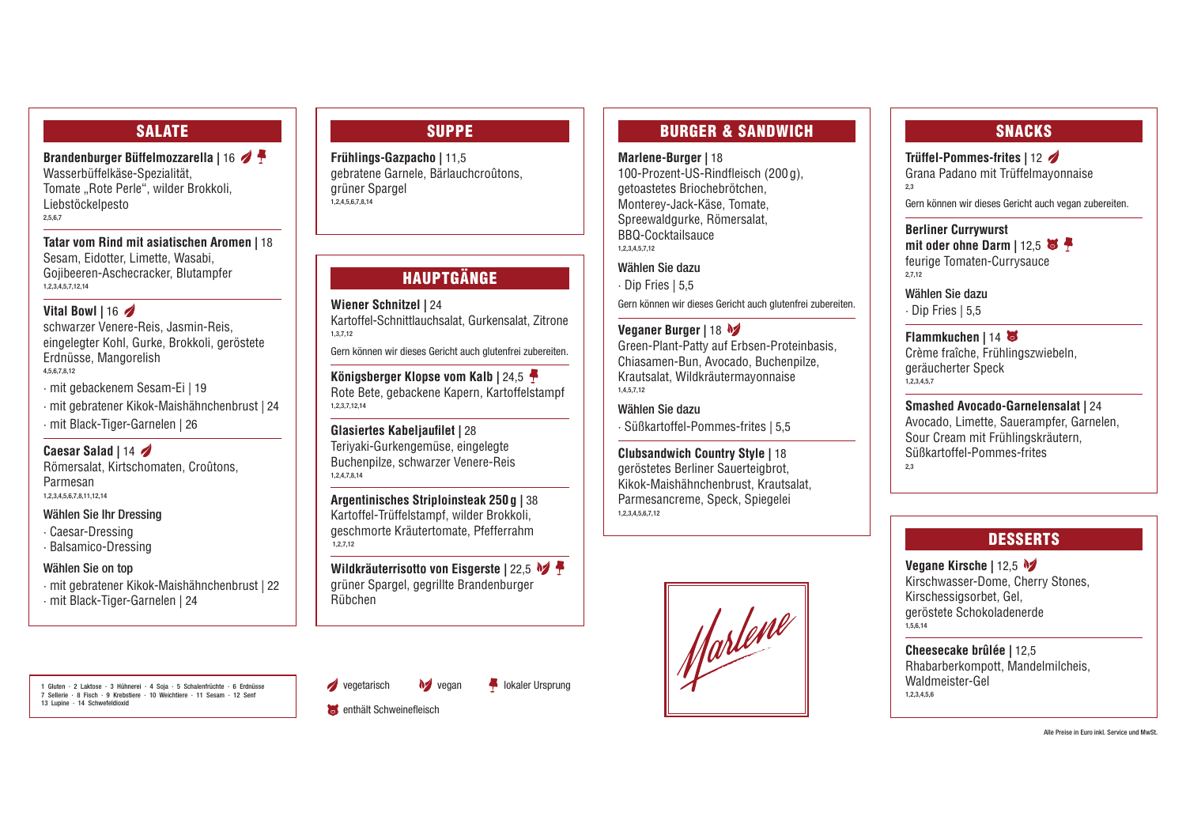## SALATE

**Brandenburger Büffelmozzarella |** 16 Wasserbüffelkäse-Spezialität, Tomate "Rote Perle", wilder Brokkoli, Liebstöckelpesto 2,5,6,7

**Tatar vom Rind mit asiatischen Aromen |** 18 Sesam, Eidotter, Limette, Wasabi, Gojibeeren-Aschecracker, Blutampfer 1,2,3,4,5,7,12,14

#### **Vital Bowl |** 16

schwarzer Venere-Reis, Jasmin-Reis, eingelegter Kohl, Gurke, Brokkoli, geröstete Erdnüsse, Mangorelish 4,5,6,7,8,12

· mit gebackenem Sesam-Ei | 19

**Frühlings-Gazpacho |** 11,5 gebratene Garnele, Bärlauchcroûtons, grüner Spargel  $1,2,4,5,6,7,8,14$ 

- · mit gebratener Kikok-Maishähnchenbrust | 24
- · mit Black-Tiger-Garnelen | 26

**Caesar Salad |** 14

Römersalat, Kirtschomaten, Croûtons, Parmesan 1,2,3,4,5,6,7,8,11,12,14

#### Wählen Sie Ihr Dressing

· Caesar-Dressing

· Balsamico-Dressing

#### Wählen Sie on top

- · mit gebratener Kikok-Maishähnchenbrust | 22
- · mit Black-Tiger-Garnelen | 24

1 Gluten · 2 Laktose · 3 Hühnerei · 4 Soja · 5 Schalenfrüchte · 6 Erdnüsse 7 Sellerie · 8 Fisch · 9 Krebstiere · 10 Weichtiere · 11 Sesam · 12 Senf 13 Lupine · 14 Schwefeldioxid

 $\sqrt{\phantom{a}}$  vegetarisch

**S** enthält Schweinefleisch



**M** vegan **let** lokaler Ursprung

## SUPPE

# SNACKS

**Argentinisches Striploinsteak 250g |** 38 Kartoffel-Trüffelstampf, wilder Brokkoli, geschmorte Kräutertomate, Pfefferrahm  $1,2.7.12$ 

#### **Trüffel-Pommes-frites |** 12

Grana Padano mit Trüffelmayonnaise 2,3

Gern können wir dieses Gericht auch vegan zubereiten.

**Berliner Currywurst** mit oder ohne Darm | 12.5 feurige Tomaten-Currysauce 2,7,12

Wählen Sie dazu

· Dip Fries | 5,5

## **Flammkuchen |** 14

Crème fraîche, Frühlingszwiebeln, geräucherter Speck 1,2,3,4,5,7

# **Smashed Avocado-Garnelensalat |** 24

Avocado, Limette, Sauerampfer, Garnelen, Sour Cream mit Frühlingskräutern, Süßkartoffel-Pommes-frites 2,3

## **DESSERTS**

#### **Vegane Kirsche |** 12,5

Kirschwasser-Dome, Cherry Stones, Kirschessigsorbet, Gel, geröstete Schokoladenerde 1,5,6,14

**Cheesecake brûlée |** 12,5 Rhabarberkompott, Mandelmilcheis, Waldmeister-Gel 1,2,3,4,5,6

# HAUPTGÄNGE

**Wiener Schnitzel |** 24 Kartoffel-Schnittlauchsalat, Gurkensalat, Zitrone 1,3,7,12

Gern können wir dieses Gericht auch glutenfrei zubereiten.

**Königsberger Klopse vom Kalb |** 24,5 Rote Bete, gebackene Kapern, Kartoffelstampf 1,2,3,7,12,14

**Glasiertes Kabeljaufilet |** 28 Teriyaki-Gurkengemüse, eingelegte Buchenpilze, schwarzer Venere-Reis 1,2,4,7,8,14

**Wildkräuterrisotto von Eisgerste |** 22,5 grüner Spargel, gegrillte Brandenburger Rübchen

## BURGER & SANDWICH

#### **Marlene-Burger |** 18

100-Prozent-US-Rindfleisch (200g), getoastetes Briochebrötchen, Monterey-Jack-Käse, Tomate, Spreewaldgurke, Römersalat, BBQ-Cocktailsauce 1,2,3,4,5,7,12

#### Wählen Sie dazu

· Dip Fries | 5,5

Gern können wir dieses Gericht auch glutenfrei zubereiten.

#### **Veganer Burger |** 18

Green-Plant-Patty auf Erbsen-Proteinbasis, Chiasamen-Bun, Avocado, Buchenpilze, Krautsalat, Wildkräutermayonnaise 1,4,5,7,12

Wählen Sie dazu · Süßkartoffel-Pommes-frites | 5,5

**Clubsandwich Country Style |** 18 geröstetes Berliner Sauerteigbrot, Kikok-Maishähnchenbrust, Krautsalat, Parmesancreme, Speck, Spiegelei 1,2,3,4,5,6,7,12



Alle Preise in Euro inkl. Service und MwSt.